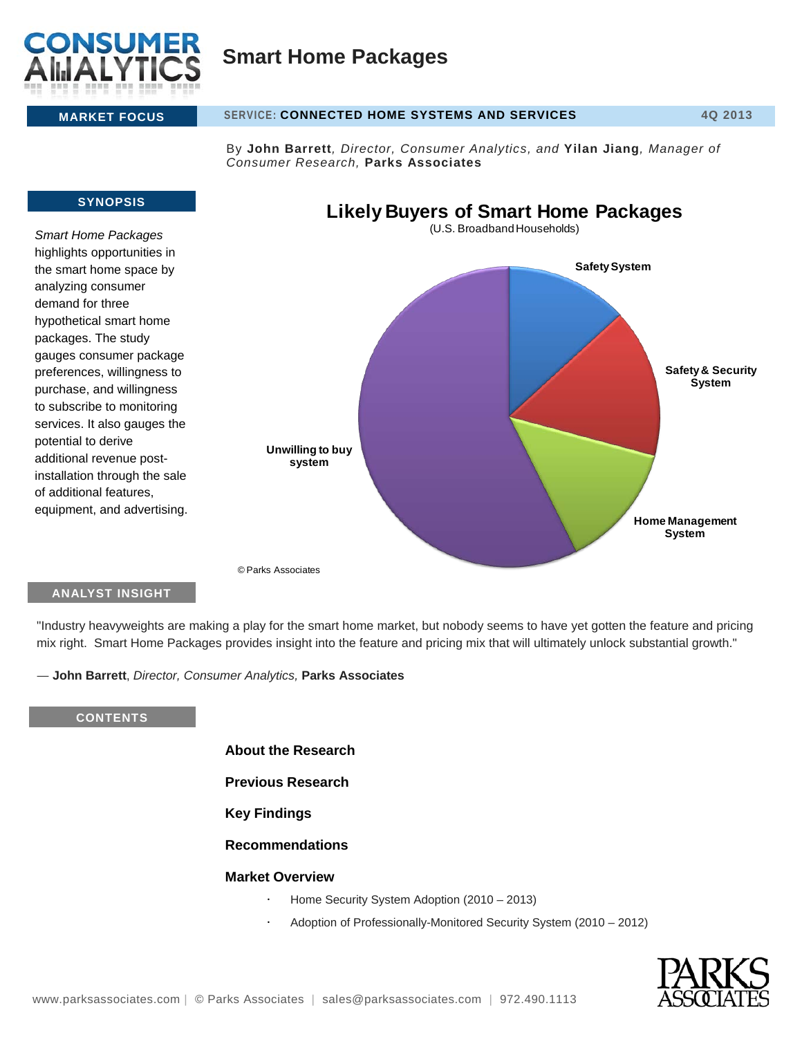

# **Smart Home Packages**

#### **MARKET FOCUS SERVICE: CONNECTED HOME SYSTEMS AND SERVICES 4Q 2013**

By **John Barrett***, Director, Consumer Analytics, and* **Yilan Jiang***, Manager of Consumer Research,* **Parks Associates**

#### **SYNOPSIS**

*Smart Home Packages*  highlights opportunities in the smart home space by analyzing consumer demand for three hypothetical smart home packages. The study gauges consumer package preferences, willingness to purchase, and willingness to subscribe to monitoring services. It also gauges the potential to derive additional revenue postinstallation through the sale of additional features, equipment, and advertising.



# **ANALYST INSIGHT**

"Industry heavyweights are making a play for the smart home market, but nobody seems to have yet gotten the feature and pricing mix right. Smart Home Packages provides insight into the feature and pricing mix that will ultimately unlock substantial growth."

― **John Barrett**, *Director, Consumer Analytics,* **Parks Associates**

### **CONTENTS**

**About the Research**

**Previous Research**

# **Key Findings**

### **Recommendations**

#### **Market Overview**

- Home Security System Adoption (2010 2013)
- Adoption of Professionally-Monitored Security System (2010 2012)

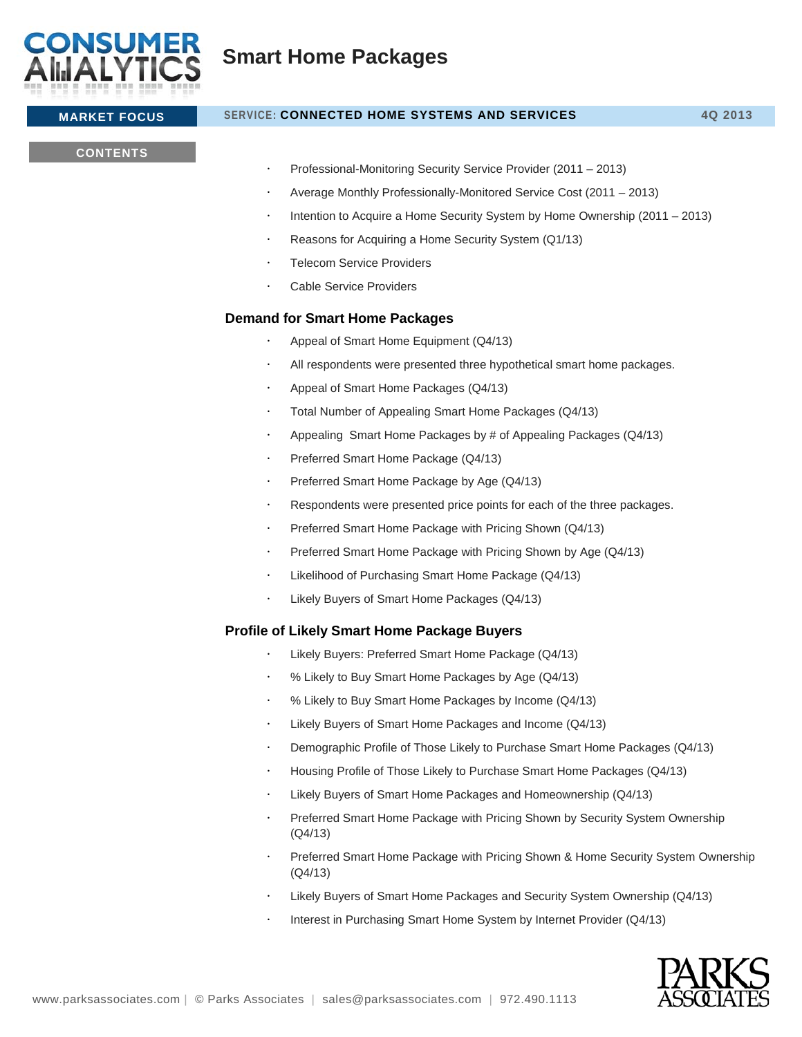

# **MARKET FOCUS SERVICE: CONNECTED HOME SYSTEMS AND SERVICES 4Q 2013**

## **CONTENTS**

- Professional-Monitoring Security Service Provider (2011 2013)
- Average Monthly Professionally-Monitored Service Cost (2011 2013)
- Intention to Acquire a Home Security System by Home Ownership (2011 2013)
- Reasons for Acquiring a Home Security System (Q1/13)
- Telecom Service Providers
- Cable Service Providers

# **Demand for Smart Home Packages**

- Appeal of Smart Home Equipment (Q4/13)
- All respondents were presented three hypothetical smart home packages.
- Appeal of Smart Home Packages (Q4/13)
- Total Number of Appealing Smart Home Packages (Q4/13)
- Appealing Smart Home Packages by # of Appealing Packages (Q4/13)
- Preferred Smart Home Package (Q4/13)
- Preferred Smart Home Package by Age (Q4/13)
- Respondents were presented price points for each of the three packages.
- Preferred Smart Home Package with Pricing Shown (Q4/13)
- Preferred Smart Home Package with Pricing Shown by Age (Q4/13)
- Likelihood of Purchasing Smart Home Package (Q4/13)
- Likely Buyers of Smart Home Packages (Q4/13)

### **Profile of Likely Smart Home Package Buyers**

- Likely Buyers: Preferred Smart Home Package (Q4/13)
- % Likely to Buy Smart Home Packages by Age (Q4/13)
- % Likely to Buy Smart Home Packages by Income (Q4/13)
- Likely Buyers of Smart Home Packages and Income (Q4/13)
- Demographic Profile of Those Likely to Purchase Smart Home Packages (Q4/13)
- Housing Profile of Those Likely to Purchase Smart Home Packages (Q4/13)
- Likely Buyers of Smart Home Packages and Homeownership (Q4/13)
- Preferred Smart Home Package with Pricing Shown by Security System Ownership (Q4/13)
- Preferred Smart Home Package with Pricing Shown & Home Security System Ownership (Q4/13)
- Likely Buyers of Smart Home Packages and Security System Ownership (Q4/13)
- Interest in Purchasing Smart Home System by Internet Provider (Q4/13)

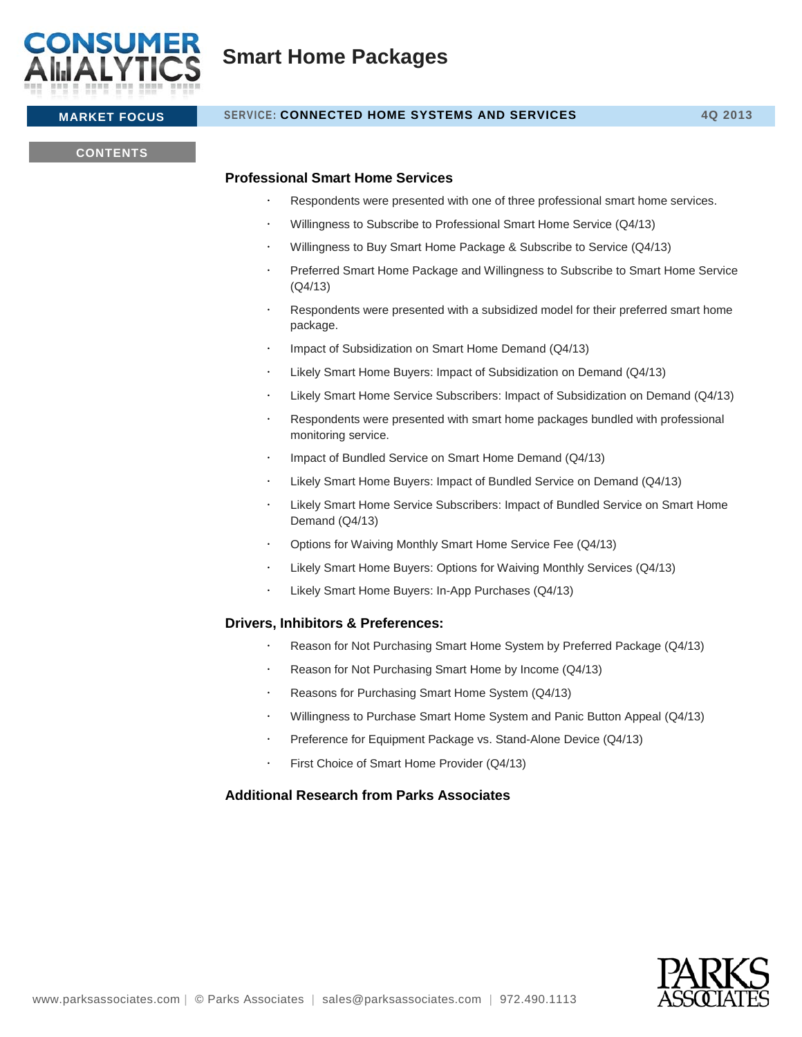

# **Smart Home Packages**

### **MARKET FOCUS SERVICE: CONNECTED HOME SYSTEMS AND SERVICES 4Q 2013**

#### **CONTENTS**

#### **Professional Smart Home Services**

- Respondents were presented with one of three professional smart home services.
- Willingness to Subscribe to Professional Smart Home Service (Q4/13)
- Willingness to Buy Smart Home Package & Subscribe to Service (Q4/13)
- Preferred Smart Home Package and Willingness to Subscribe to Smart Home Service (Q4/13)
- Respondents were presented with a subsidized model for their preferred smart home package.
- Impact of Subsidization on Smart Home Demand (Q4/13)
- Likely Smart Home Buyers: Impact of Subsidization on Demand (Q4/13)
- Likely Smart Home Service Subscribers: Impact of Subsidization on Demand (Q4/13)
- Respondents were presented with smart home packages bundled with professional monitoring service.
- Impact of Bundled Service on Smart Home Demand (Q4/13)
- Likely Smart Home Buyers: Impact of Bundled Service on Demand (Q4/13)
- Likely Smart Home Service Subscribers: Impact of Bundled Service on Smart Home Demand (Q4/13)
- Options for Waiving Monthly Smart Home Service Fee (Q4/13)
- Likely Smart Home Buyers: Options for Waiving Monthly Services (Q4/13)
- Likely Smart Home Buyers: In-App Purchases (Q4/13)

#### **Drivers, Inhibitors & Preferences:**

- Reason for Not Purchasing Smart Home System by Preferred Package (Q4/13)
- Reason for Not Purchasing Smart Home by Income (Q4/13)
- Reasons for Purchasing Smart Home System (Q4/13)
- Willingness to Purchase Smart Home System and Panic Button Appeal (Q4/13)
- Preference for Equipment Package vs. Stand-Alone Device (Q4/13)
- First Choice of Smart Home Provider (Q4/13)

### **Additional Research from Parks Associates**